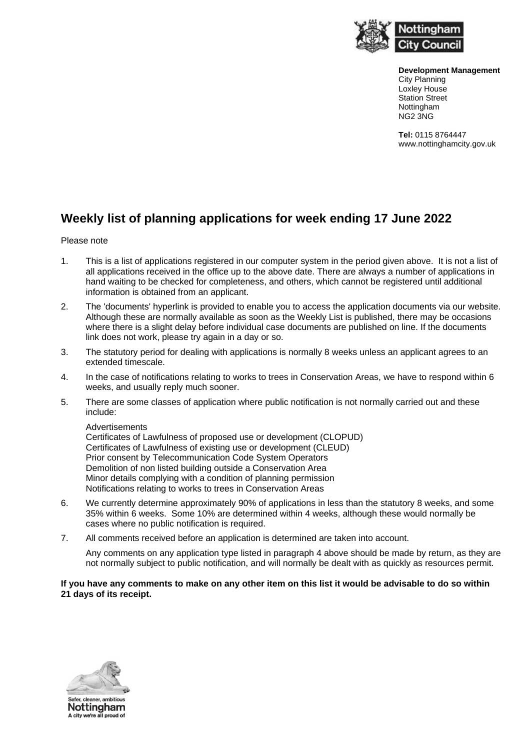

**Development Management** City Planning Loxley House Station Street **Nottingham** NG2 3NG

**Tel:** 0115 8764447 www.nottinghamcity.gov.uk

## **Weekly list of planning applications for week ending 17 June 2022**

## Please note

- 1. This is a list of applications registered in our computer system in the period given above. It is not a list of all applications received in the office up to the above date. There are always a number of applications in hand waiting to be checked for completeness, and others, which cannot be registered until additional information is obtained from an applicant.
- 2. The 'documents' hyperlink is provided to enable you to access the application documents via our website. Although these are normally available as soon as the Weekly List is published, there may be occasions where there is a slight delay before individual case documents are published on line. If the documents link does not work, please try again in a day or so.
- 3. The statutory period for dealing with applications is normally 8 weeks unless an applicant agrees to an extended timescale.
- 4. In the case of notifications relating to works to trees in Conservation Areas, we have to respond within 6 weeks, and usually reply much sooner.
- 5. There are some classes of application where public notification is not normally carried out and these include:

Advertisements

Certificates of Lawfulness of proposed use or development (CLOPUD) Certificates of Lawfulness of existing use or development (CLEUD) Prior consent by Telecommunication Code System Operators Demolition of non listed building outside a Conservation Area Minor details complying with a condition of planning permission Notifications relating to works to trees in Conservation Areas

- 6. We currently determine approximately 90% of applications in less than the statutory 8 weeks, and some 35% within 6 weeks. Some 10% are determined within 4 weeks, although these would normally be cases where no public notification is required.
- 7. All comments received before an application is determined are taken into account.

Any comments on any application type listed in paragraph 4 above should be made by return, as they are not normally subject to public notification, and will normally be dealt with as quickly as resources permit.

## **If you have any comments to make on any other item on this list it would be advisable to do so within 21 days of its receipt.**

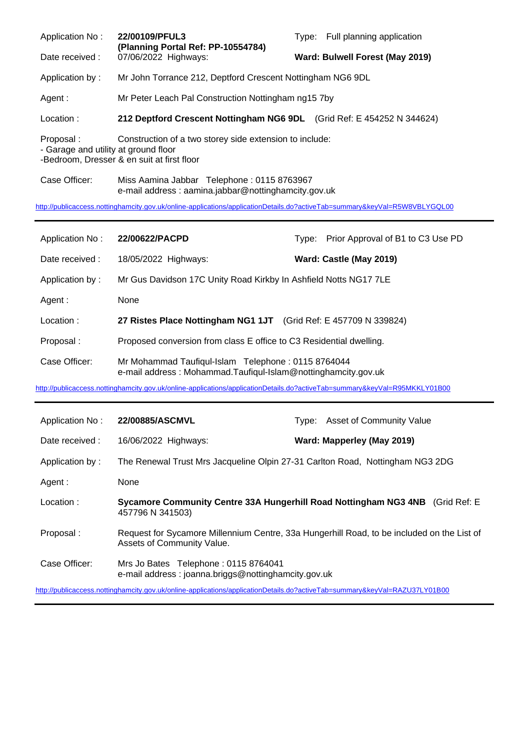Application No: **22/00109/PFUL3** Type: Full planning application **(Planning Portal Ref: PP-10554784)** Date received : 07/06/2022 Highways: **Ward: Bulwell Forest (May 2019)** Application by : Mr John Torrance 212, Deptford Crescent Nottingham NG6 9DL Agent : Mr Peter Leach Pal Construction Nottingham ng15 7by Location : **212 Deptford Crescent Nottingham NG6 9DL** (Grid Ref: E 454252 N 344624) Proposal : Construction of a two storey side extension to include: - Garage and utility at ground floor -Bedroom, Dresser & en suit at first floor Case Officer: Miss Aamina Jabbar Telephone : 0115 8763967

e-mail address : aamina.jabbar@nottinghamcity.gov.uk

<http://publicaccess.nottinghamcity.gov.uk/online-applications/applicationDetails.do?activeTab=summary&keyVal=R5W8VBLYGQL00>

| Application No: | 22/00622/PACPD                                                                                                      | Type: Prior Approval of B1 to C3 Use PD |
|-----------------|---------------------------------------------------------------------------------------------------------------------|-----------------------------------------|
| Date received:  | 18/05/2022 Highways:                                                                                                | Ward: Castle (May 2019)                 |
| Application by: | Mr Gus Davidson 17C Unity Road Kirkby In Ashfield Notts NG17 7LE                                                    |                                         |
| Agent :         | None                                                                                                                |                                         |
| Location:       | 27 Ristes Place Nottingham NG1 1JT (Grid Ref: E 457709 N 339824)                                                    |                                         |
| Proposal:       | Proposed conversion from class E office to C3 Residential dwelling.                                                 |                                         |
| Case Officer:   | Mr Mohammad Taufiqul-Islam Telephone: 0115 8764044<br>e-mail address: Mohammad.Taufiqul-Islam@nottinghamcity.gov.uk |                                         |

<http://publicaccess.nottinghamcity.gov.uk/online-applications/applicationDetails.do?activeTab=summary&keyVal=R95MKKLY01B00>

| Application No: | 22/00885/ASCMVL                                                                                                          | Tvpe: | Asset of Community Value   |  |
|-----------------|--------------------------------------------------------------------------------------------------------------------------|-------|----------------------------|--|
| Date received : | 16/06/2022 Highways:                                                                                                     |       | Ward: Mapperley (May 2019) |  |
| Application by: | The Renewal Trust Mrs Jacqueline Olpin 27-31 Carlton Road, Nottingham NG3 2DG                                            |       |                            |  |
| Agent :         | None                                                                                                                     |       |                            |  |
| Location:       | Sycamore Community Centre 33A Hungerhill Road Nottingham NG3 4NB (Grid Ref: E)<br>457796 N 341503)                       |       |                            |  |
| Proposal:       | Request for Sycamore Millennium Centre, 33a Hungerhill Road, to be included on the List of<br>Assets of Community Value. |       |                            |  |
| Case Officer:   | Mrs Jo Bates Telephone: 0115 8764041<br>e-mail address: joanna.briggs@nottinghamcity.gov.uk                              |       |                            |  |

<http://publicaccess.nottinghamcity.gov.uk/online-applications/applicationDetails.do?activeTab=summary&keyVal=RAZU37LY01B00>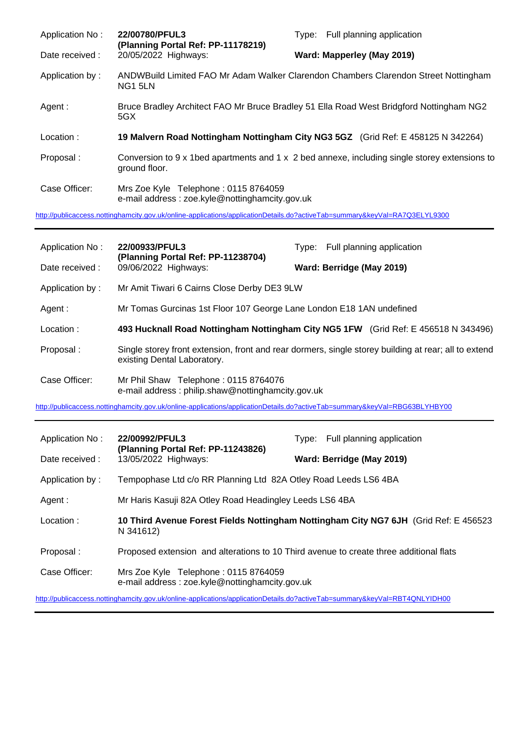| Application No: | 22/00780/PFUL3<br>(Planning Portal Ref: PP-11178219)                                    | Type: Full planning application                                                               |
|-----------------|-----------------------------------------------------------------------------------------|-----------------------------------------------------------------------------------------------|
| Date received : | 20/05/2022 Highways:                                                                    | Ward: Mapperley (May 2019)                                                                    |
| Application by: | NG1 5LN                                                                                 | ANDWBuild Limited FAO Mr Adam Walker Clarendon Chambers Clarendon Street Nottingham           |
| Agent :         | 5GX                                                                                     | Bruce Bradley Architect FAO Mr Bruce Bradley 51 Ella Road West Bridgford Nottingham NG2       |
|                 |                                                                                         |                                                                                               |
| Location:       |                                                                                         | 19 Malvern Road Nottingham Nottingham City NG3 5GZ (Grid Ref: E 458125 N 342264)              |
| Proposal:       | ground floor.                                                                           | Conversion to 9 x 1bed apartments and 1 x 2 bed annexe, including single storey extensions to |
| Case Officer:   | Mrs Zoe Kyle Telephone: 0115 8764059<br>e-mail address : zoe.kyle@nottinghamcity.gov.uk |                                                                                               |

| Application No: | 22/00933/PFUL3<br>(Planning Portal Ref: PP-11238704)                                      | Full planning application<br>Type:                                                                   |
|-----------------|-------------------------------------------------------------------------------------------|------------------------------------------------------------------------------------------------------|
| Date received : | 09/06/2022 Highways:                                                                      | Ward: Berridge (May 2019)                                                                            |
| Application by: | Mr Amit Tiwari 6 Cairns Close Derby DE3 9LW                                               |                                                                                                      |
| Agent :         | Mr Tomas Gurcinas 1st Floor 107 George Lane London E18 1AN undefined                      |                                                                                                      |
| Location:       |                                                                                           | 493 Hucknall Road Nottingham Nottingham City NG5 1FW (Grid Ref: E 456518 N 343496)                   |
| Proposal:       | existing Dental Laboratory.                                                               | Single storey front extension, front and rear dormers, single storey building at rear; all to extend |
| Case Officer:   | Mr Phil Shaw Telephone: 0115 8764076<br>e-mail address: philip.shaw@nottinghamcity.gov.uk |                                                                                                      |

<http://publicaccess.nottinghamcity.gov.uk/online-applications/applicationDetails.do?activeTab=summary&keyVal=RBG63BLYHBY00>

| Application No: | 22/00992/PFUL3                                                                         | Type: Full planning application                                                       |
|-----------------|----------------------------------------------------------------------------------------|---------------------------------------------------------------------------------------|
| Date received:  | (Planning Portal Ref: PP-11243826)<br>13/05/2022 Highways:                             | Ward: Berridge (May 2019)                                                             |
| Application by: | Tempophase Ltd c/o RR Planning Ltd 82A Otley Road Leeds LS6 4BA                        |                                                                                       |
| Agent :         | Mr Haris Kasuji 82A Otley Road Headingley Leeds LS6 4BA                                |                                                                                       |
| Location:       | N 341612)                                                                              | 10 Third Avenue Forest Fields Nottingham Nottingham City NG7 6JH (Grid Ref: E 456523) |
| Proposal:       | Proposed extension and alterations to 10 Third avenue to create three additional flats |                                                                                       |
| Case Officer:   | Mrs Zoe Kyle Telephone: 0115 8764059<br>e-mail address: zoe.kyle@nottinghamcity.gov.uk |                                                                                       |

<http://publicaccess.nottinghamcity.gov.uk/online-applications/applicationDetails.do?activeTab=summary&keyVal=RBT4QNLYIDH00>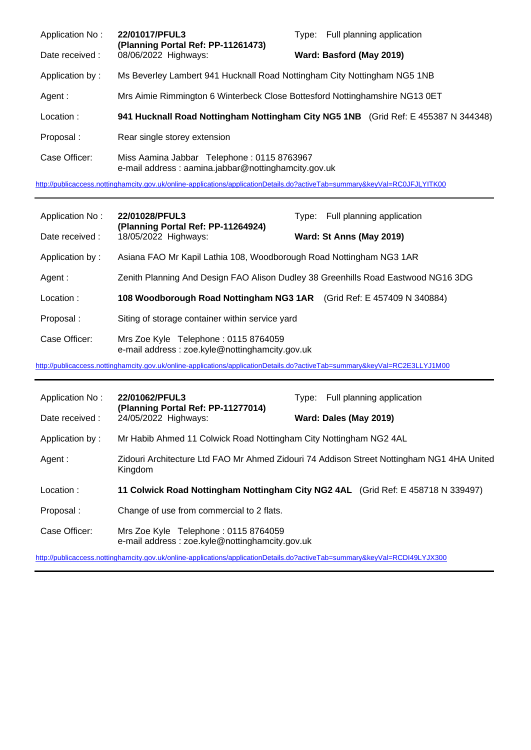| Application No: | 22/01017/PFUL3<br>(Planning Portal Ref: PP-11261473)                                              | Type: Full planning application                                                    |
|-----------------|---------------------------------------------------------------------------------------------------|------------------------------------------------------------------------------------|
| Date received : | 08/06/2022 Highways:                                                                              | Ward: Basford (May 2019)                                                           |
| Application by: | Ms Beverley Lambert 941 Hucknall Road Nottingham City Nottingham NG5 1NB                          |                                                                                    |
| Agent :         | Mrs Aimie Rimmington 6 Winterbeck Close Bottesford Nottinghamshire NG13 0ET                       |                                                                                    |
| Location:       |                                                                                                   | 941 Hucknall Road Nottingham Nottingham City NG5 1NB (Grid Ref: E 455387 N 344348) |
| Proposal:       | Rear single storey extension                                                                      |                                                                                    |
| Case Officer:   | Miss Aamina Jabbar Telephone: 0115 8763967<br>e-mail address: aamina.jabbar@nottinghamcity.gov.uk |                                                                                    |

<http://publicaccess.nottinghamcity.gov.uk/online-applications/applicationDetails.do?activeTab=summary&keyVal=RC0JFJLYITK00>

| Application No: | 22/01028/PFUL3<br>(Planning Portal Ref: PP-11264924)                                   | Type: Full planning application |
|-----------------|----------------------------------------------------------------------------------------|---------------------------------|
| Date received:  | 18/05/2022 Highways:                                                                   | Ward: St Anns (May 2019)        |
| Application by: | Asiana FAO Mr Kapil Lathia 108, Woodborough Road Nottingham NG3 1AR                    |                                 |
| Agent :         | Zenith Planning And Design FAO Alison Dudley 38 Greenhills Road Eastwood NG16 3DG      |                                 |
| Location:       | 108 Woodborough Road Nottingham NG3 1AR (Grid Ref: E 457409 N 340884)                  |                                 |
| Proposal:       | Siting of storage container within service yard                                        |                                 |
| Case Officer:   | Mrs Zoe Kyle Telephone: 0115 8764059<br>e-mail address: zoe.kyle@nottinghamcity.gov.uk |                                 |

<http://publicaccess.nottinghamcity.gov.uk/online-applications/applicationDetails.do?activeTab=summary&keyVal=RC2E3LLYJ1M00>

| Application No: | 22/01062/PFUL3                                                                         | Type: Full planning application                                                           |
|-----------------|----------------------------------------------------------------------------------------|-------------------------------------------------------------------------------------------|
| Date received:  | (Planning Portal Ref: PP-11277014)<br>24/05/2022 Highways:                             | Ward: Dales (May 2019)                                                                    |
| Application by: | Mr Habib Ahmed 11 Colwick Road Nottingham City Nottingham NG2 4AL                      |                                                                                           |
| Agent :         | Kingdom                                                                                | Zidouri Architecture Ltd FAO Mr Ahmed Zidouri 74 Addison Street Nottingham NG1 4HA United |
| Location:       |                                                                                        | 11 Colwick Road Nottingham Nottingham City NG2 4AL (Grid Ref: E 458718 N 339497)          |
| Proposal:       | Change of use from commercial to 2 flats.                                              |                                                                                           |
| Case Officer:   | Mrs Zoe Kyle Telephone: 0115 8764059<br>e-mail address: zoe.kyle@nottinghamcity.gov.uk |                                                                                           |

<http://publicaccess.nottinghamcity.gov.uk/online-applications/applicationDetails.do?activeTab=summary&keyVal=RCDI49LYJX300>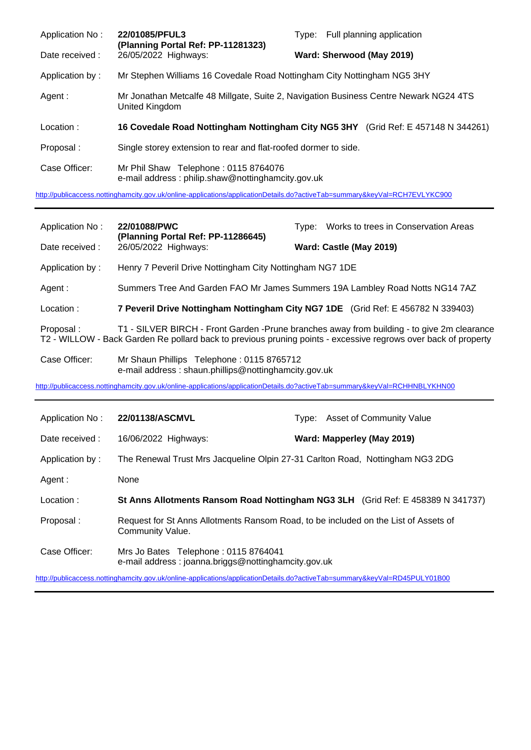| Application No: | 22/01085/PFUL3<br>(Planning Portal Ref: PP-11281323)                                      | Type: Full planning application                                                       |
|-----------------|-------------------------------------------------------------------------------------------|---------------------------------------------------------------------------------------|
| Date received:  | 26/05/2022 Highways:                                                                      | Ward: Sherwood (May 2019)                                                             |
| Application by: | Mr Stephen Williams 16 Covedale Road Nottingham City Nottingham NG5 3HY                   |                                                                                       |
| Agent:          | United Kingdom                                                                            | Mr Jonathan Metcalfe 48 Millgate, Suite 2, Navigation Business Centre Newark NG24 4TS |
| Location:       |                                                                                           | 16 Covedale Road Nottingham Nottingham City NG5 3HY (Grid Ref: E 457148 N 344261)     |
| Proposal:       | Single storey extension to rear and flat-roofed dormer to side.                           |                                                                                       |
| Case Officer:   | Mr Phil Shaw Telephone: 0115 8764076<br>e-mail address: philip.shaw@nottinghamcity.gov.uk |                                                                                       |

<http://publicaccess.nottinghamcity.gov.uk/online-applications/applicationDetails.do?activeTab=summary&keyVal=RCH7EVLYKC900>

| Application No: | 22/01088/PWC<br>(Planning Portal Ref: PP-11286645)                                                                         | Type: Works to trees in Conservation Areas                                                                                                                                                                   |
|-----------------|----------------------------------------------------------------------------------------------------------------------------|--------------------------------------------------------------------------------------------------------------------------------------------------------------------------------------------------------------|
| Date received : | 26/05/2022 Highways:                                                                                                       | Ward: Castle (May 2019)                                                                                                                                                                                      |
| Application by: | Henry 7 Peveril Drive Nottingham City Nottingham NG7 1DE                                                                   |                                                                                                                                                                                                              |
| Agent:          |                                                                                                                            | Summers Tree And Garden FAO Mr James Summers 19A Lambley Road Notts NG14 7AZ                                                                                                                                 |
| Location:       |                                                                                                                            | 7 Peveril Drive Nottingham Nottingham City NG7 1DE (Grid Ref: E 456782 N 339403)                                                                                                                             |
| Proposal:       |                                                                                                                            | T1 - SILVER BIRCH - Front Garden -Prune branches away from building - to give 2m clearance<br>T2 - WILLOW - Back Garden Re pollard back to previous pruning points - excessive regrows over back of property |
| Case Officer:   | Mr Shaun Phillips Telephone: 0115 8765712<br>e-mail address: shaun.phillips@nottinghamcity.gov.uk                          |                                                                                                                                                                                                              |
|                 | http://publicaccess.nottinghamcity.gov.uk/online-applications/applicationDetails.do?activeTab=summary&keyVal=RCHHNBLYKHN00 |                                                                                                                                                                                                              |
|                 |                                                                                                                            |                                                                                                                                                                                                              |
| Application No: | 22/01138/ASCMVL                                                                                                            | <b>Asset of Community Value</b><br>Type:                                                                                                                                                                     |
| Date received : | 16/06/2022 Highways:                                                                                                       | Ward: Mapperley (May 2019)                                                                                                                                                                                   |
| Application by: |                                                                                                                            | The Renewal Trust Mrs Jacqueline Olpin 27-31 Carlton Road, Nottingham NG3 2DG                                                                                                                                |
| Agent:          | None                                                                                                                       |                                                                                                                                                                                                              |
| Location:       |                                                                                                                            | St Anns Allotments Ransom Road Nottingham NG3 3LH (Grid Ref: E 458389 N 341737)                                                                                                                              |
| Proposal:       | Community Value.                                                                                                           | Request for St Anns Allotments Ransom Road, to be included on the List of Assets of                                                                                                                          |
| Case Officer:   | Mrs Jo Bates Telephone: 0115 8764041<br>e-mail address: joanna.briggs@nottinghamcity.gov.uk                                |                                                                                                                                                                                                              |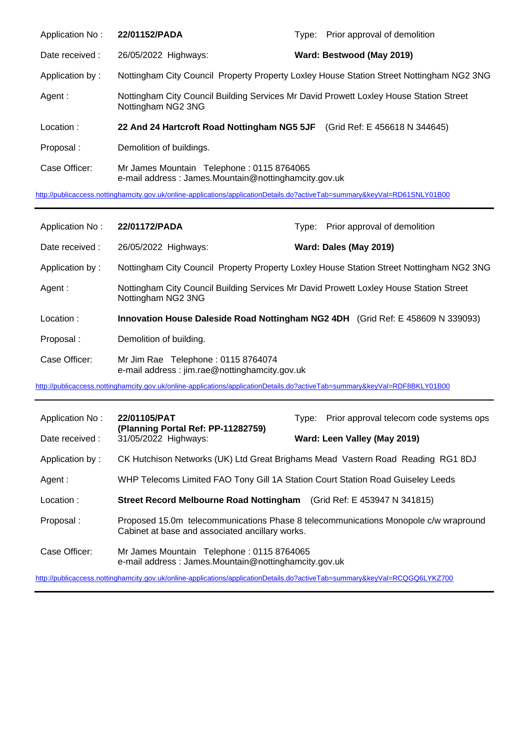| Application No: | 22/01152/PADA                                                                                                | Type: Prior approval of demolition |
|-----------------|--------------------------------------------------------------------------------------------------------------|------------------------------------|
| Date received:  | 26/05/2022 Highways:                                                                                         | Ward: Bestwood (May 2019)          |
| Application by: | Nottingham City Council Property Property Loxley House Station Street Nottingham NG2 3NG                     |                                    |
| Agent:          | Nottingham City Council Building Services Mr David Prowett Loxley House Station Street<br>Nottingham NG2 3NG |                                    |
| Location:       | 22 And 24 Hartcroft Road Nottingham NG5 5JF (Grid Ref: E 456618 N 344645)                                    |                                    |
| Proposal:       | Demolition of buildings.                                                                                     |                                    |
| Case Officer:   | Mr James Mountain Telephone: 0115 8764065<br>e-mail address: James.Mountain@nottinghamcity.gov.uk            |                                    |

<http://publicaccess.nottinghamcity.gov.uk/online-applications/applicationDetails.do?activeTab=summary&keyVal=RD61SNLY01B00>

| Application No: | 22/01172/PADA                                                                       | Prior approval of demolition<br>Tvpe:                                                    |
|-----------------|-------------------------------------------------------------------------------------|------------------------------------------------------------------------------------------|
| Date received : | 26/05/2022 Highways:                                                                | Ward: Dales (May 2019)                                                                   |
| Application by: |                                                                                     | Nottingham City Council Property Property Loxley House Station Street Nottingham NG2 3NG |
| Agent:          | Nottingham NG2 3NG                                                                  | Nottingham City Council Building Services Mr David Prowett Loxley House Station Street   |
| Location:       |                                                                                     | Innovation House Daleside Road Nottingham NG2 4DH (Grid Ref: E 458609 N 339093)          |
|                 |                                                                                     |                                                                                          |
| Proposal:       | Demolition of building.                                                             |                                                                                          |
| Case Officer:   | Mr Jim Rae Telephone: 0115 8764074<br>e-mail address: jim.rae@nottinghamcity.gov.uk |                                                                                          |

| Application No:                                                                                                            | 22/01105/PAT<br>(Planning Portal Ref: PP-11282759)                                                | Prior approval telecom code systems ops<br>Tvpe:                                    |  |  |
|----------------------------------------------------------------------------------------------------------------------------|---------------------------------------------------------------------------------------------------|-------------------------------------------------------------------------------------|--|--|
| Date received :                                                                                                            | 31/05/2022 Highways:                                                                              | Ward: Leen Valley (May 2019)                                                        |  |  |
| Application by:                                                                                                            |                                                                                                   | CK Hutchison Networks (UK) Ltd Great Brighams Mead Vastern Road Reading RG1 8DJ     |  |  |
| Agent :                                                                                                                    | WHP Telecoms Limited FAO Tony Gill 1A Station Court Station Road Guiseley Leeds                   |                                                                                     |  |  |
| Location:                                                                                                                  | <b>Street Record Melbourne Road Nottingham</b> (Grid Ref: E 453947 N 341815)                      |                                                                                     |  |  |
| Proposal:                                                                                                                  | Cabinet at base and associated ancillary works.                                                   | Proposed 15.0m telecommunications Phase 8 telecommunications Monopole c/w wrapround |  |  |
| Case Officer:                                                                                                              | Mr James Mountain Telephone: 0115 8764065<br>e-mail address: James.Mountain@nottinghamcity.gov.uk |                                                                                     |  |  |
| http://publicaccess.nottinghamcity.gov.uk/online-applications/applicationDetails.do?activeTab=summary&keyVal=RCQGQ6LYKZ700 |                                                                                                   |                                                                                     |  |  |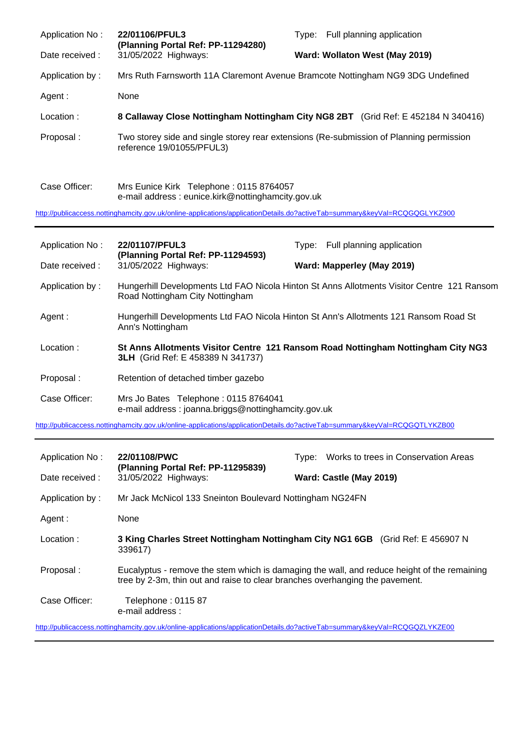| Application No: | 22/01106/PFUL3<br>(Planning Portal Ref: PP-11294280)                                         | Full planning application<br>Type:                                                      |
|-----------------|----------------------------------------------------------------------------------------------|-----------------------------------------------------------------------------------------|
| Date received : | 31/05/2022 Highways:                                                                         | Ward: Wollaton West (May 2019)                                                          |
| Application by: |                                                                                              | Mrs Ruth Farnsworth 11A Claremont Avenue Bramcote Nottingham NG9 3DG Undefined          |
| Agent :         | None                                                                                         |                                                                                         |
| Location:       |                                                                                              | 8 Callaway Close Nottingham Nottingham City NG8 2BT (Grid Ref: E 452184 N 340416)       |
| Proposal:       | reference 19/01055/PFUL3)                                                                    | Two storey side and single storey rear extensions (Re-submission of Planning permission |
| Case Officer:   | Mrs Eunice Kirk Telephone: 0115 8764057<br>e-mail address: eunice.kirk@nottinghamcity.gov.uk |                                                                                         |

<http://publicaccess.nottinghamcity.gov.uk/online-applications/applicationDetails.do?activeTab=summary&keyVal=RCQGQGLYKZ900>

| Application No: | 22/01107/PFUL3                                                                              | Type: Full planning application                                                            |
|-----------------|---------------------------------------------------------------------------------------------|--------------------------------------------------------------------------------------------|
| Date received : | (Planning Portal Ref: PP-11294593)<br>31/05/2022 Highways:                                  | Ward: Mapperley (May 2019)                                                                 |
| Application by: | Road Nottingham City Nottingham                                                             | Hungerhill Developments Ltd FAO Nicola Hinton St Anns Allotments Visitor Centre 121 Ransom |
| Agent:          | Ann's Nottingham                                                                            | Hungerhill Developments Ltd FAO Nicola Hinton St Ann's Allotments 121 Ransom Road St       |
| Location:       | <b>3LH</b> (Grid Ref: E 458389 N 341737)                                                    | St Anns Allotments Visitor Centre 121 Ransom Road Nottingham Nottingham City NG3           |
| Proposal :      | Retention of detached timber gazebo                                                         |                                                                                            |
| Case Officer:   | Mrs Jo Bates Telephone: 0115 8764041<br>e-mail address: joanna.briggs@nottinghamcity.gov.uk |                                                                                            |

<http://publicaccess.nottinghamcity.gov.uk/online-applications/applicationDetails.do?activeTab=summary&keyVal=RCQGQTLYKZB00>

| Application No: | 22/01108/PWC<br>(Planning Portal Ref: PP-11295839)                                                                                                                          | Works to trees in Conservation Areas<br>Type: |  |
|-----------------|-----------------------------------------------------------------------------------------------------------------------------------------------------------------------------|-----------------------------------------------|--|
| Date received : | 31/05/2022 Highways:                                                                                                                                                        | Ward: Castle (May 2019)                       |  |
| Application by: | Mr Jack McNicol 133 Sneinton Boulevard Nottingham NG24FN                                                                                                                    |                                               |  |
| Agent :         | None                                                                                                                                                                        |                                               |  |
| Location:       | 3 King Charles Street Nottingham Nottingham City NG1 6GB (Grid Ref: E 456907 N<br>339617)                                                                                   |                                               |  |
| Proposal:       | Eucalyptus - remove the stem which is damaging the wall, and reduce height of the remaining<br>tree by 2-3m, thin out and raise to clear branches overhanging the pavement. |                                               |  |
| Case Officer:   | Telephone: 0115 87<br>e-mail address :                                                                                                                                      |                                               |  |

<http://publicaccess.nottinghamcity.gov.uk/online-applications/applicationDetails.do?activeTab=summary&keyVal=RCQGQZLYKZE00>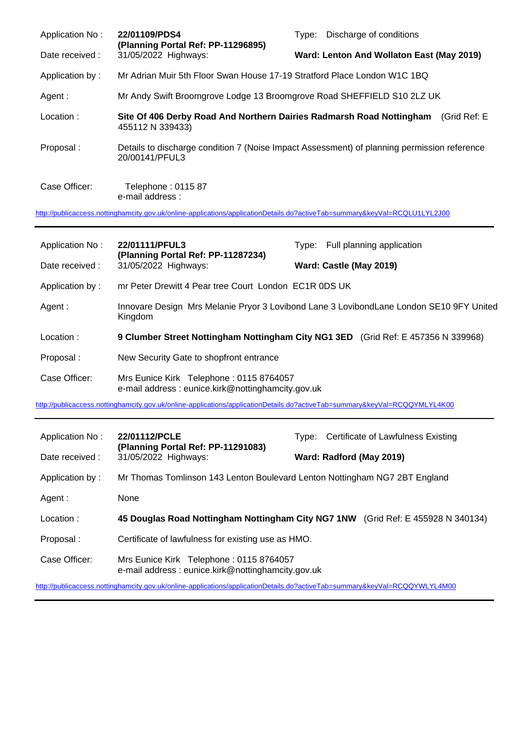| Application No:                                                                                                            | 22/01109/PDS4                                                                            | Discharge of conditions<br>Type:                                                            |  |  |
|----------------------------------------------------------------------------------------------------------------------------|------------------------------------------------------------------------------------------|---------------------------------------------------------------------------------------------|--|--|
| Date received :                                                                                                            | (Planning Portal Ref: PP-11296895)<br>31/05/2022 Highways:                               | Ward: Lenton And Wollaton East (May 2019)                                                   |  |  |
| Application by:                                                                                                            | Mr Adrian Muir 5th Floor Swan House 17-19 Stratford Place London W1C 1BQ                 |                                                                                             |  |  |
| Agent :                                                                                                                    | Mr Andy Swift Broomgrove Lodge 13 Broomgrove Road SHEFFIELD S10 2LZ UK                   |                                                                                             |  |  |
| Location:                                                                                                                  | Site Of 406 Derby Road And Northern Dairies Radmarsh Road Nottingham<br>455112 N 339433) | (Grid Ref: E                                                                                |  |  |
| Proposal:                                                                                                                  | 20/00141/PFUL3                                                                           | Details to discharge condition 7 (Noise Impact Assessment) of planning permission reference |  |  |
| Case Officer:                                                                                                              | Telephone: 0115 87<br>e-mail address :                                                   |                                                                                             |  |  |
| http://publicaccess.nottinghamcity.gov.uk/online-applications/applicationDetails.do?activeTab=summary&keyVal=RCQLU1LYL2J00 |                                                                                          |                                                                                             |  |  |

| Application No: | 22/01111/PFUL3<br>(Planning Portal Ref: PP-11287234)<br>31/05/2022 Highways:                       | Full planning application<br>Tvpe:                                                |
|-----------------|----------------------------------------------------------------------------------------------------|-----------------------------------------------------------------------------------|
| Date received : |                                                                                                    | Ward: Castle (May 2019)                                                           |
| Application by: | mr Peter Drewitt 4 Pear tree Court London EC1R 0DS UK                                              |                                                                                   |
| Agent :         | Innovare Design Mrs Melanie Pryor 3 Lovibond Lane 3 LovibondLane London SE10 9FY United<br>Kingdom |                                                                                   |
| Location:       |                                                                                                    | 9 Clumber Street Nottingham Nottingham City NG1 3ED (Grid Ref: E 457356 N 339968) |
| Proposal:       | New Security Gate to shopfront entrance                                                            |                                                                                   |
| Case Officer:   | Mrs Eunice Kirk Telephone: 0115 8764057<br>e-mail address: eunice.kirk@nottinghamcity.gov.uk       |                                                                                   |

<http://publicaccess.nottinghamcity.gov.uk/online-applications/applicationDetails.do?activeTab=summary&keyVal=RCQQYMLYL4K00>

| Application No: | 22/01112/PCLE<br>(Planning Portal Ref: PP-11291083)                                           | Certificate of Lawfulness Existing<br>Tvpe:                                      |  |  |
|-----------------|-----------------------------------------------------------------------------------------------|----------------------------------------------------------------------------------|--|--|
| Date received : | 31/05/2022 Highways:                                                                          | Ward: Radford (May 2019)                                                         |  |  |
| Application by: | Mr Thomas Tomlinson 143 Lenton Boulevard Lenton Nottingham NG7 2BT England                    |                                                                                  |  |  |
| Agent :         | None                                                                                          |                                                                                  |  |  |
| Location:       |                                                                                               | 45 Douglas Road Nottingham Nottingham City NG7 1NW (Grid Ref: E 455928 N 340134) |  |  |
| Proposal:       | Certificate of lawfulness for existing use as HMO.                                            |                                                                                  |  |  |
| Case Officer:   | Mrs Eunice Kirk Telephone: 0115 8764057<br>e-mail address : eunice.kirk@nottinghamcity.gov.uk |                                                                                  |  |  |

<http://publicaccess.nottinghamcity.gov.uk/online-applications/applicationDetails.do?activeTab=summary&keyVal=RCQQYWLYL4M00>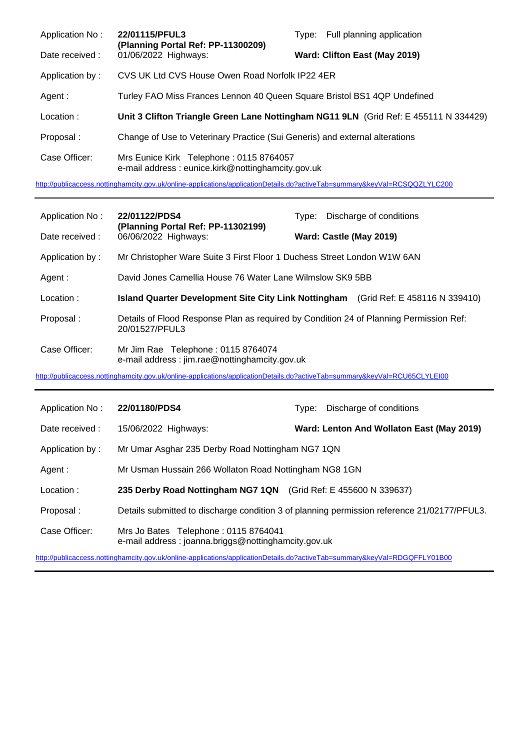| Application No: | 22/01115/PFUL3<br>(Planning Portal Ref: PP-11300209)                                         | Type: Full planning application |
|-----------------|----------------------------------------------------------------------------------------------|---------------------------------|
| Date received : | 01/06/2022 Highways:                                                                         | Ward: Clifton East (May 2019)   |
| Application by: | CVS UK Ltd CVS House Owen Road Norfolk IP22 4ER                                              |                                 |
| Agent:          | Turley FAO Miss Frances Lennon 40 Queen Square Bristol BS1 4QP Undefined                     |                                 |
| Location:       | Unit 3 Clifton Triangle Green Lane Nottingham NG11 9LN (Grid Ref: E 455111 N 334429)         |                                 |
| Proposal:       | Change of Use to Veterinary Practice (Sui Generis) and external alterations                  |                                 |
| Case Officer:   | Mrs Eunice Kirk Telephone: 0115 8764057<br>e-mail address: eunice.kirk@nottinghamcity.gov.uk |                                 |

<http://publicaccess.nottinghamcity.gov.uk/online-applications/applicationDetails.do?activeTab=summary&keyVal=RCSQQZLYLC200>

| Application No: | 22/01122/PDS4                                                                       | Discharge of conditions<br>Type:                                                       |
|-----------------|-------------------------------------------------------------------------------------|----------------------------------------------------------------------------------------|
| Date received : | (Planning Portal Ref: PP-11302199)<br>06/06/2022 Highways:                          | Ward: Castle (May 2019)                                                                |
| Application by: | Mr Christopher Ware Suite 3 First Floor 1 Duchess Street London W1W 6AN             |                                                                                        |
| Agent:          | David Jones Camellia House 76 Water Lane Wilmslow SK9 5BB                           |                                                                                        |
| Location:       |                                                                                     | Island Quarter Development Site City Link Nottingham (Grid Ref: E 458116 N 339410)     |
| Proposal:       | 20/01527/PFUL3                                                                      | Details of Flood Response Plan as required by Condition 24 of Planning Permission Ref: |
| Case Officer:   | Mr Jim Rae Telephone: 0115 8764074<br>e-mail address: jim.rae@nottinghamcity.gov.uk |                                                                                        |

<http://publicaccess.nottinghamcity.gov.uk/online-applications/applicationDetails.do?activeTab=summary&keyVal=RCU65CLYLEI00>

| Application No: | 22/01180/PDS4                                                                               | Type: | Discharge of conditions                   |
|-----------------|---------------------------------------------------------------------------------------------|-------|-------------------------------------------|
| Date received : | 15/06/2022 Highways:                                                                        |       | Ward: Lenton And Wollaton East (May 2019) |
| Application by: | Mr Umar Asghar 235 Derby Road Nottingham NG7 1QN                                            |       |                                           |
| Agent :         | Mr Usman Hussain 266 Wollaton Road Nottingham NG8 1GN                                       |       |                                           |
| Location:       | 235 Derby Road Nottingham NG7 1QN (Grid Ref: E 455600 N 339637)                             |       |                                           |
| Proposal:       | Details submitted to discharge condition 3 of planning permission reference 21/02177/PFUL3. |       |                                           |
| Case Officer:   | Mrs Jo Bates Telephone: 0115 8764041<br>e-mail address: joanna.briggs@nottinghamcity.gov.uk |       |                                           |

<http://publicaccess.nottinghamcity.gov.uk/online-applications/applicationDetails.do?activeTab=summary&keyVal=RDGQFFLY01B00>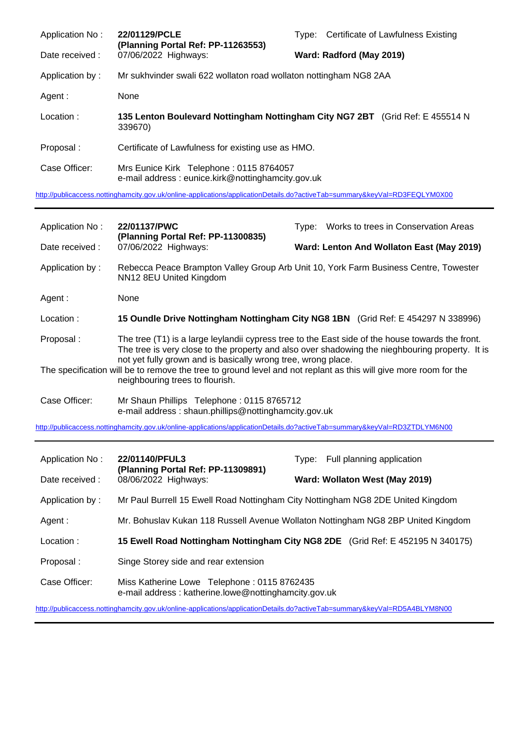| Application No: | 22/01129/PCLE<br>(Planning Portal Ref: PP-11263553)                                          | Type:                    | Certificate of Lawfulness Existing |  |
|-----------------|----------------------------------------------------------------------------------------------|--------------------------|------------------------------------|--|
| Date received : | 07/06/2022 Highways:                                                                         | Ward: Radford (May 2019) |                                    |  |
| Application by: | Mr sukhvinder swali 622 wollaton road wollaton nottingham NG8 2AA                            |                          |                                    |  |
| Agent :         | None                                                                                         |                          |                                    |  |
| Location:       | 135 Lenton Boulevard Nottingham Nottingham City NG7 2BT (Grid Ref: E 455514 N<br>339670)     |                          |                                    |  |
| Proposal:       | Certificate of Lawfulness for existing use as HMO.                                           |                          |                                    |  |
| Case Officer:   | Mrs Eunice Kirk Telephone: 0115 8764057<br>e-mail address: eunice.kirk@nottinghamcity.gov.uk |                          |                                    |  |

<http://publicaccess.nottinghamcity.gov.uk/online-applications/applicationDetails.do?activeTab=summary&keyVal=RD3FEQLYM0X00>

| Application No:                                                                                                                                     | 22/01137/PWC                                                                                                                                                                                                                                                         | Type: | Works to trees in Conservation Areas      |
|-----------------------------------------------------------------------------------------------------------------------------------------------------|----------------------------------------------------------------------------------------------------------------------------------------------------------------------------------------------------------------------------------------------------------------------|-------|-------------------------------------------|
| Date received :                                                                                                                                     | (Planning Portal Ref: PP-11300835)<br>07/06/2022 Highways:                                                                                                                                                                                                           |       | Ward: Lenton And Wollaton East (May 2019) |
| Application by:                                                                                                                                     | Rebecca Peace Brampton Valley Group Arb Unit 10, York Farm Business Centre, Towester<br>NN12 8EU United Kingdom                                                                                                                                                      |       |                                           |
| Agent :                                                                                                                                             | None                                                                                                                                                                                                                                                                 |       |                                           |
| Location:                                                                                                                                           | 15 Oundle Drive Nottingham Nottingham City NG8 1BN (Grid Ref: E 454297 N 338996)                                                                                                                                                                                     |       |                                           |
| Proposal:                                                                                                                                           | The tree (T1) is a large leylandii cypress tree to the East side of the house towards the front.<br>The tree is very close to the property and also over shadowing the nieghbouring property. It is<br>not yet fully grown and is basically wrong tree, wrong place. |       |                                           |
| The specification will be to remove the tree to ground level and not replant as this will give more room for the<br>neighbouring trees to flourish. |                                                                                                                                                                                                                                                                      |       |                                           |
| Case Officer:                                                                                                                                       | Mr Shaun Phillips Telephone: 0115 8765712<br>e-mail address: shaun.phillips@nottinghamcity.gov.uk                                                                                                                                                                    |       |                                           |

<http://publicaccess.nottinghamcity.gov.uk/online-applications/applicationDetails.do?activeTab=summary&keyVal=RD3ZTDLYM6N00>

| Application No:                                                                                                            | 22/01140/PFUL3<br>(Planning Portal Ref: PP-11309891)<br>08/06/2022 Highways:                        | Full planning application<br>Tvpe: |
|----------------------------------------------------------------------------------------------------------------------------|-----------------------------------------------------------------------------------------------------|------------------------------------|
| Date received:                                                                                                             |                                                                                                     | Ward: Wollaton West (May 2019)     |
| Application by:                                                                                                            | Mr Paul Burrell 15 Ewell Road Nottingham City Nottingham NG8 2DE United Kingdom                     |                                    |
| Agent :                                                                                                                    | Mr. Bohuslav Kukan 118 Russell Avenue Wollaton Nottingham NG8 2BP United Kingdom                    |                                    |
| Location:                                                                                                                  | 15 Ewell Road Nottingham Nottingham City NG8 2DE (Grid Ref: E 452195 N 340175)                      |                                    |
| Proposal:                                                                                                                  | Singe Storey side and rear extension                                                                |                                    |
| Case Officer:                                                                                                              | Miss Katherine Lowe Telephone: 0115 8762435<br>e-mail address: katherine.lowe@nottinghamcity.gov.uk |                                    |
| http://publicaccess.nottinghamcity.gov.uk/online-applications/applicationDetails.do?activeTab=summary&keyVal=RD5A4BLYM8N00 |                                                                                                     |                                    |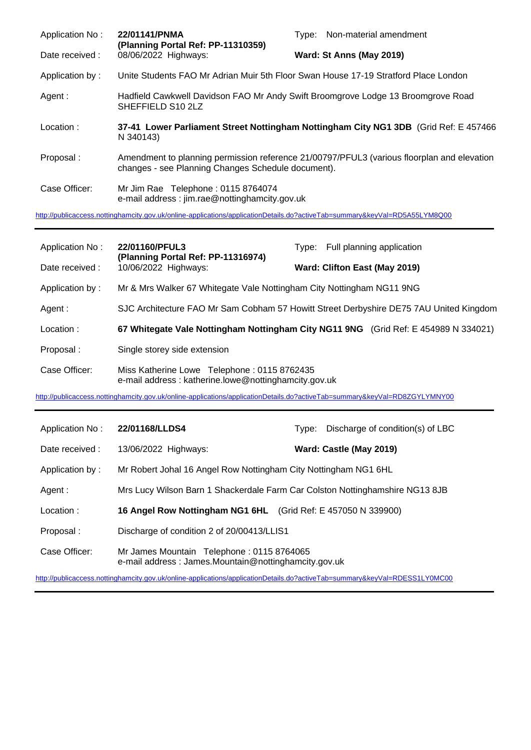| Application No:                                                                                                            | 22/01141/PNMA<br>(Planning Portal Ref: PP-11310359)                                                                                              | Type: Non-material amendment |
|----------------------------------------------------------------------------------------------------------------------------|--------------------------------------------------------------------------------------------------------------------------------------------------|------------------------------|
| Date received :                                                                                                            | 08/06/2022 Highways:                                                                                                                             | Ward: St Anns (May 2019)     |
| Application by:                                                                                                            | Unite Students FAO Mr Adrian Muir 5th Floor Swan House 17-19 Stratford Place London                                                              |                              |
| Agent :                                                                                                                    | Hadfield Cawkwell Davidson FAO Mr Andy Swift Broomgrove Lodge 13 Broomgrove Road<br>SHEFFIELD S10 2LZ                                            |                              |
| Location:                                                                                                                  | 37-41 Lower Parliament Street Nottingham Nottingham City NG1 3DB (Grid Ref: E 457466)<br>N 340143)                                               |                              |
| Proposal:                                                                                                                  | Amendment to planning permission reference 21/00797/PFUL3 (various floorplan and elevation<br>changes - see Planning Changes Schedule document). |                              |
| Case Officer:                                                                                                              | Mr Jim Rae Telephone: 0115 8764074<br>e-mail address: jim.rae@nottinghamcity.gov.uk                                                              |                              |
| http://publicaccess.nottinghamcity.gov.uk/online-applications/applicationDetails.do?activeTab=summary&keyVal=RD5A55LYM8Q00 |                                                                                                                                                  |                              |

| Application No: | 22/01160/PFUL3<br>(Planning Portal Ref: PP-11316974)<br>10/06/2022 Highways:                        | Full planning application<br>Tvpe: |
|-----------------|-----------------------------------------------------------------------------------------------------|------------------------------------|
| Date received:  |                                                                                                     | Ward: Clifton East (May 2019)      |
| Application by: | Mr & Mrs Walker 67 Whitegate Vale Nottingham City Nottingham NG11 9NG                               |                                    |
| Agent :         | SJC Architecture FAO Mr Sam Cobham 57 Howitt Street Derbyshire DE75 7AU United Kingdom              |                                    |
| Location:       | 67 Whitegate Vale Nottingham Nottingham City NG11 9NG (Grid Ref: E 454989 N 334021)                 |                                    |
| Proposal:       | Single storey side extension                                                                        |                                    |
| Case Officer:   | Miss Katherine Lowe Telephone: 0115 8762435<br>e-mail address: katherine.lowe@nottinghamcity.gov.uk |                                    |

<http://publicaccess.nottinghamcity.gov.uk/online-applications/applicationDetails.do?activeTab=summary&keyVal=RD8ZGYLYMNY00>

| Application No: | 22/01168/LLDS4                                                                                    | Type: | Discharge of condition(s) of LBC |
|-----------------|---------------------------------------------------------------------------------------------------|-------|----------------------------------|
| Date received : | 13/06/2022 Highways:                                                                              |       | Ward: Castle (May 2019)          |
| Application by: | Mr Robert Johal 16 Angel Row Nottingham City Nottingham NG1 6HL                                   |       |                                  |
| Agent :         | Mrs Lucy Wilson Barn 1 Shackerdale Farm Car Colston Nottinghamshire NG13 8JB                      |       |                                  |
| Location:       | 16 Angel Row Nottingham NG1 6HL (Grid Ref: E 457050 N 339900)                                     |       |                                  |
| Proposal:       | Discharge of condition 2 of 20/00413/LLIS1                                                        |       |                                  |
| Case Officer:   | Mr James Mountain Telephone: 0115 8764065<br>e-mail address: James.Mountain@nottinghamcity.gov.uk |       |                                  |

<http://publicaccess.nottinghamcity.gov.uk/online-applications/applicationDetails.do?activeTab=summary&keyVal=RDESS1LY0MC00>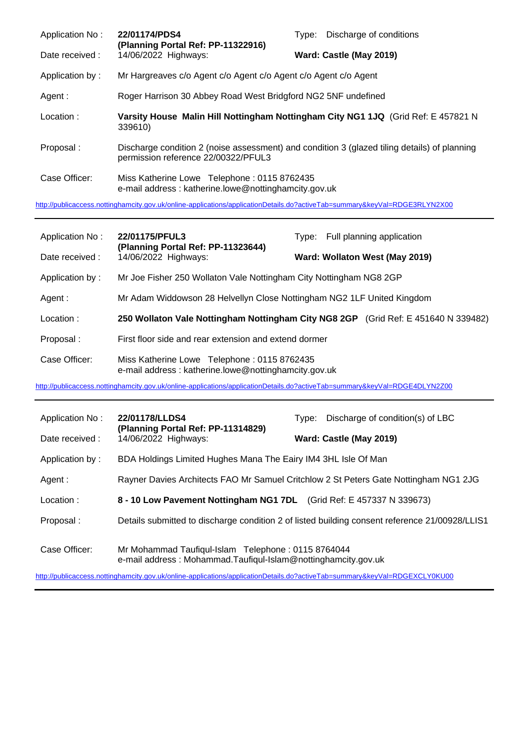| Application No:                                                                                                            | 22/01174/PDS4<br>(Planning Portal Ref: PP-11322916)                                                                                 | Discharge of conditions<br>Type: |
|----------------------------------------------------------------------------------------------------------------------------|-------------------------------------------------------------------------------------------------------------------------------------|----------------------------------|
| Date received:                                                                                                             | 14/06/2022 Highways:                                                                                                                | Ward: Castle (May 2019)          |
| Application by:                                                                                                            | Mr Hargreaves c/o Agent c/o Agent c/o Agent c/o Agent c/o Agent                                                                     |                                  |
| Agent :                                                                                                                    | Roger Harrison 30 Abbey Road West Bridgford NG2 5NF undefined                                                                       |                                  |
| Location:                                                                                                                  | Varsity House Malin Hill Nottingham Nottingham City NG1 1JQ (Grid Ref: E 457821 N<br>339610)                                        |                                  |
| Proposal:                                                                                                                  | Discharge condition 2 (noise assessment) and condition 3 (glazed tiling details) of planning<br>permission reference 22/00322/PFUL3 |                                  |
| Case Officer:                                                                                                              | Miss Katherine Lowe Telephone: 0115 8762435<br>e-mail address: katherine.lowe@nottinghamcity.gov.uk                                 |                                  |
| http://publicaccess.nottinghamcity.gov.uk/online-applications/applicationDetails.do?activeTab=summary&keyVal=RDGE3RLYN2X00 |                                                                                                                                     |                                  |

| Application No:                                                                                                            | 22/01175/PFUL3<br>(Planning Portal Ref: PP-11323644)<br>14/06/2022 Highways:                        | Type: Full planning application |
|----------------------------------------------------------------------------------------------------------------------------|-----------------------------------------------------------------------------------------------------|---------------------------------|
| Date received :                                                                                                            |                                                                                                     | Ward: Wollaton West (May 2019)  |
| Application by:                                                                                                            | Mr Joe Fisher 250 Wollaton Vale Nottingham City Nottingham NG8 2GP                                  |                                 |
| Agent:                                                                                                                     | Mr Adam Widdowson 28 Helvellyn Close Nottingham NG2 1LF United Kingdom                              |                                 |
| Location:                                                                                                                  | 250 Wollaton Vale Nottingham Nottingham City NG8 2GP (Grid Ref: E 451640 N 339482)                  |                                 |
| Proposal:                                                                                                                  | First floor side and rear extension and extend dormer                                               |                                 |
| Case Officer:                                                                                                              | Miss Katherine Lowe Telephone: 0115 8762435<br>e-mail address: katherine.lowe@nottinghamcity.gov.uk |                                 |
| http://publicaccess.nottinghamcity.gov.uk/online-applications/applicationDetails.do?activeTab=summary&keyVal=RDGE4DLYN2Z00 |                                                                                                     |                                 |

| Application No:                                                                                                                      | 22/01178/LLDS4                                                                                 | Tvpe: | Discharge of condition(s) of LBC |
|--------------------------------------------------------------------------------------------------------------------------------------|------------------------------------------------------------------------------------------------|-------|----------------------------------|
| Date received:                                                                                                                       | (Planning Portal Ref: PP-11314829)<br>14/06/2022 Highways:                                     |       | Ward: Castle (May 2019)          |
| Application by:                                                                                                                      | BDA Holdings Limited Hughes Mana The Eairy IM4 3HL Isle Of Man                                 |       |                                  |
| Agent :                                                                                                                              | Rayner Davies Architects FAO Mr Samuel Critchlow 2 St Peters Gate Nottingham NG1 2JG           |       |                                  |
| Location:                                                                                                                            | 8 - 10 Low Pavement Nottingham NG1 7DL (Grid Ref: E 457337 N 339673)                           |       |                                  |
| Proposal:                                                                                                                            | Details submitted to discharge condition 2 of listed building consent reference 21/00928/LLIS1 |       |                                  |
| Case Officer:<br>Mr Mohammad Taufiqul-Islam Telephone: 0115 8764044<br>e-mail address: Mohammad.Taufigul-Islam@nottinghamcity.gov.uk |                                                                                                |       |                                  |
| http://publicaccess.nottinghamcity.gov.uk/online-applications/applicationDetails.do?activeTab=summary&keyVal=RDGEXCLY0KU00           |                                                                                                |       |                                  |